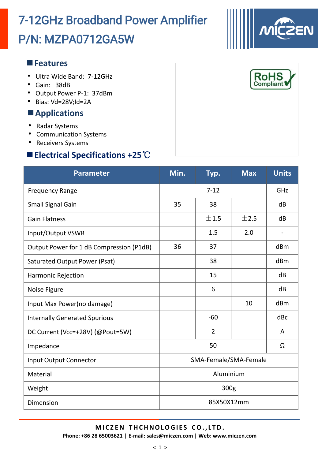## P/N: MZPA0712GA5W 7-12GHz Broadband Power Amplifier

#### **Features**

- Ultra Wide Band: 7-12GHz
- Gain: 38dB
- Output Power P-1: 37dBm
- Bias: Vd=28V;Id=2A

#### **Applications**

- Radar Systems
- Communication Systems
- Receivers Systems

### **Electrical Specifications +25**℃

| <b>Parameter</b>                         | Min.                  | Typ.           | $\n  Max\n$ | <b>Units</b> |
|------------------------------------------|-----------------------|----------------|-------------|--------------|
| <b>Frequency Range</b>                   | $7 - 12$              |                |             | GHz          |
| Small Signal Gain                        | 35                    | 38             |             | dB           |
| <b>Gain Flatness</b>                     |                       | ±1.5           | ±2.5        | dB           |
| Input/Output VSWR                        |                       | 1.5            | 2.0         |              |
| Output Power for 1 dB Compression (P1dB) | 36                    | 37             |             | dBm          |
| Saturated Output Power (Psat)            |                       | 38             |             | dBm          |
| Harmonic Rejection                       |                       | 15             |             | dB           |
| Noise Figure                             |                       | 6              |             | dB           |
| Input Max Power(no damage)               |                       |                | 10          | dBm          |
| <b>Internally Generated Spurious</b>     |                       | $-60$          |             | dBc          |
| DC Current (Vcc=+28V) (@Pout=5W)         |                       | $\overline{2}$ |             | A            |
| Impedance                                | 50                    |                |             | Ω            |
| <b>Input Output Connector</b>            | SMA-Female/SMA-Female |                |             |              |
| Material                                 | Aluminium             |                |             |              |
| Weight                                   | 300g                  |                |             |              |
| Dimension                                | 85X50X12mm            |                |             |              |